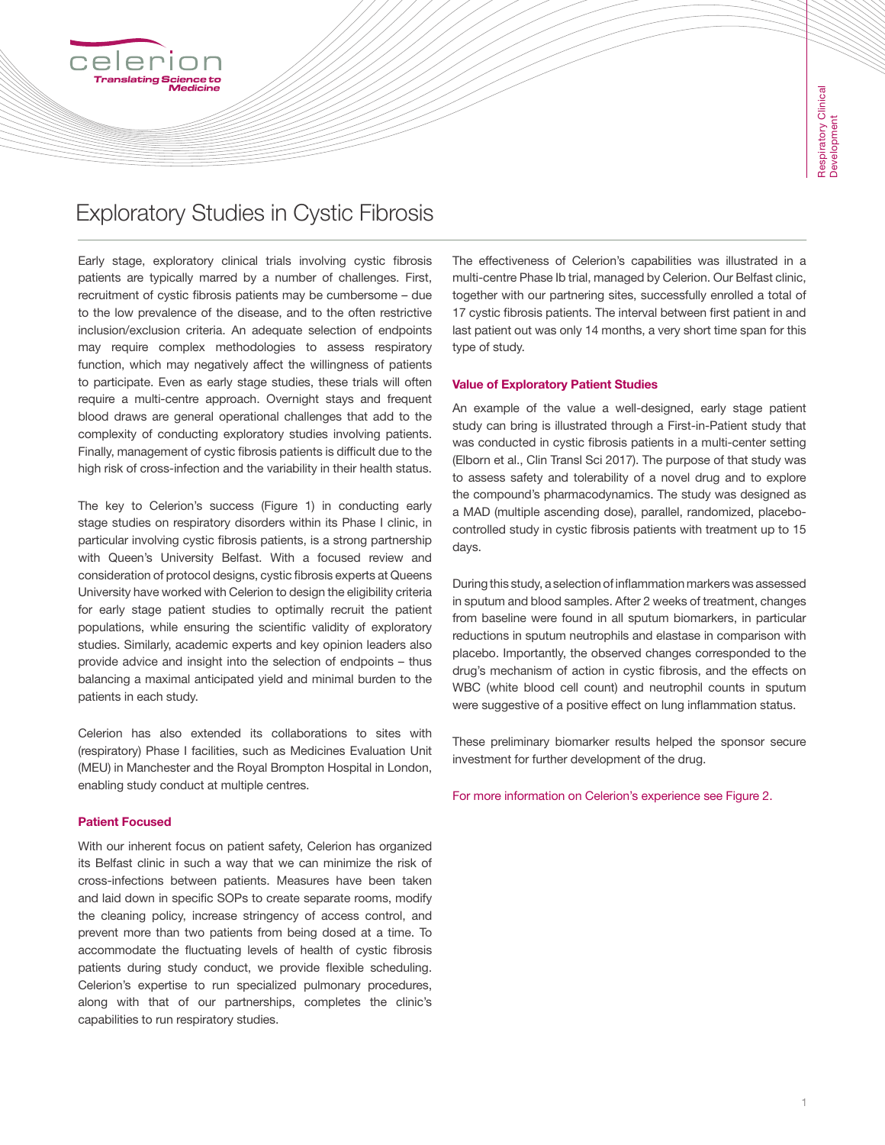# Exploratory Studies in Cystic Fibrosis

Early stage, exploratory clinical trials involving cystic fibrosis patients are typically marred by a number of challenges. First, recruitment of cystic fibrosis patients may be cumbersome – due to the low prevalence of the disease, and to the often restrictive inclusion/exclusion criteria. An adequate selection of endpoints may require complex methodologies to assess respiratory function, which may negatively affect the willingness of patients to participate. Even as early stage studies, these trials will often require a multi-centre approach. Overnight stays and frequent blood draws are general operational challenges that add to the complexity of conducting exploratory studies involving patients. Finally, management of cystic fibrosis patients is difficult due to the high risk of cross-infection and the variability in their health status.

The key to Celerion's success (Figure 1) in conducting early stage studies on respiratory disorders within its Phase I clinic, in particular involving cystic fibrosis patients, is a strong partnership with Queen's University Belfast. With a focused review and consideration of protocol designs, cystic fibrosis experts at Queens University have worked with Celerion to design the eligibility criteria for early stage patient studies to optimally recruit the patient populations, while ensuring the scientific validity of exploratory studies. Similarly, academic experts and key opinion leaders also provide advice and insight into the selection of endpoints – thus balancing a maximal anticipated yield and minimal burden to the patients in each study.

Celerion has also extended its collaborations to sites with (respiratory) Phase I facilities, such as Medicines Evaluation Unit (MEU) in Manchester and the Royal Brompton Hospital in London, enabling study conduct at multiple centres.

### Patient Focused

With our inherent focus on patient safety, Celerion has organized its Belfast clinic in such a way that we can minimize the risk of cross-infections between patients. Measures have been taken and laid down in specific SOPs to create separate rooms, modify the cleaning policy, increase stringency of access control, and prevent more than two patients from being dosed at a time. To accommodate the fluctuating levels of health of cystic fibrosis patients during study conduct, we provide flexible scheduling. Celerion's expertise to run specialized pulmonary procedures, along with that of our partnerships, completes the clinic's capabilities to run respiratory studies.

The effectiveness of Celerion's capabilities was illustrated in a multi-centre Phase Ib trial, managed by Celerion. Our Belfast clinic, together with our partnering sites, successfully enrolled a total of 17 cystic fibrosis patients. The interval between first patient in and last patient out was only 14 months, a very short time span for this type of study.

#### Value of Exploratory Patient Studies

An example of the value a well-designed, early stage patient study can bring is illustrated through a First-in-Patient study that was conducted in cystic fibrosis patients in a multi-center setting (Elborn et al., Clin Transl Sci 2017). The purpose of that study was to assess safety and tolerability of a novel drug and to explore the compound's pharmacodynamics. The study was designed as a MAD (multiple ascending dose), parallel, randomized, placebocontrolled study in cystic fibrosis patients with treatment up to 15 days.

During this study, a selection of inflammation markers was assessed in sputum and blood samples. After 2 weeks of treatment, changes from baseline were found in all sputum biomarkers, in particular reductions in sputum neutrophils and elastase in comparison with placebo. Importantly, the observed changes corresponded to the drug's mechanism of action in cystic fibrosis, and the effects on WBC (white blood cell count) and neutrophil counts in sputum were suggestive of a positive effect on lung inflammation status.

These preliminary biomarker results helped the sponsor secure investment for further development of the drug.

For more information on Celerion's experience see Figure 2.